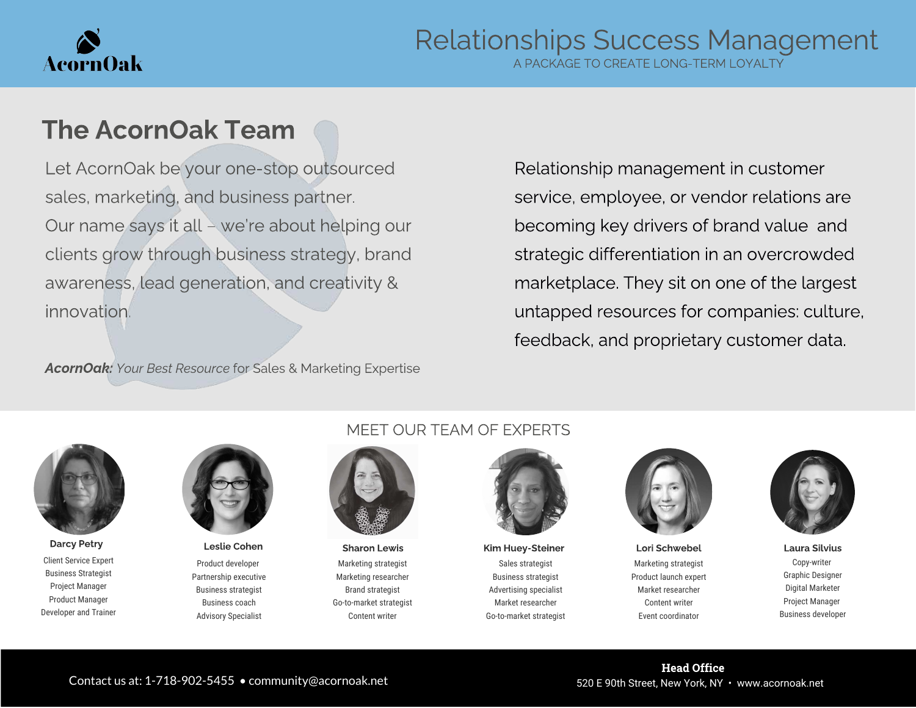

A PACKAGE TO CREATE LONG-TERM LOYALTY

## The AcornOak Team

Let AcornOak be your one-stop outsourced sales, marketing, and business partner. Our name says it all – we're about helping our clients grow through business strategy, brand awareness, lead generation, and creativity & innovation.

Relationship management in customer service, employee, or vendor relations are becoming key drivers of brand value and strategic differentiation in an overcrowded marketplace. They sit on one of the largest untapped resources for companies: culture, feedback, and proprietary customer data.

AcornOak: Your Best Resource for Sales & Marketing Expertise



Client Service Expert Business Strategist Project Manager Product Manager Developer and Trainer



Product developer Partnership executive Business strategist Business coach Advisory Specialist

#### MEET OUR TEAM OF EXPERTS



Marketing strategist Marketing researcher Brand strategist Go-to-market strategist Content writer

Sales strategist Business strategist Advertising specialist Market researcher Go-to-market strategist Darcy Petry **Resula Cohen Marcy Petry Connect Access** Leslie Cohen Sharon Lewis Kim Huey-Steiner Lori Schwebel Laura Silvius



Marketing strategist Product launch expert Market researcher Content writer Event coordinator



Copy-writer Graphic Designer Digital Marketer Project Manager Business developer